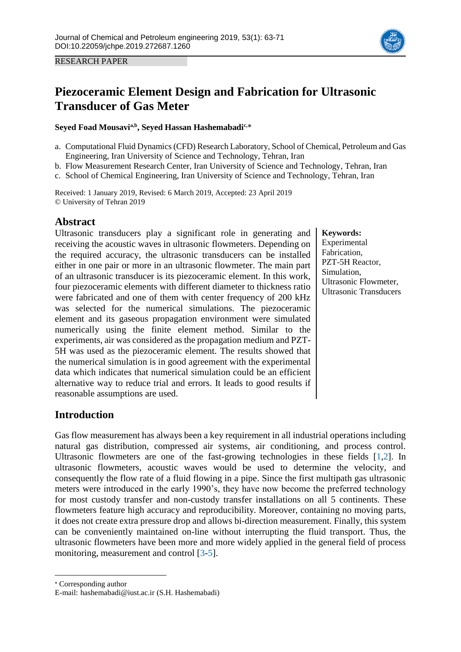

RESEARCH PAPER

# **Piezoceramic Element Design and Fabrication for Ultrasonic Transducer of Gas Meter**

#### **Seyed Foad Mousavia,b , Seyed Hassan Hashemabadic,**\*

- a. Computational Fluid Dynamics (CFD) Research Laboratory, School of Chemical, Petroleum and Gas Engineering, Iran University of Science and Technology, Tehran, Iran
- b. Flow Measurement Research Center, Iran University of Science and Technology, Tehran, Iran
- c. School of Chemical Engineering, Iran University of Science and Technology, Tehran, Iran

Received: 1 January 2019, Revised: 6 March 2019, Accepted: 23 April 2019 © University of Tehran 2019

### **Abstract**

Ultrasonic transducers play a significant role in generating and receiving the acoustic waves in ultrasonic flowmeters. Depending on the required accuracy, the ultrasonic transducers can be installed either in one pair or more in an ultrasonic flowmeter. The main part of an ultrasonic transducer is its piezoceramic element. In this work, four piezoceramic elements with different diameter to thickness ratio were fabricated and one of them with center frequency of 200 kHz was selected for the numerical simulations. The piezoceramic element and its gaseous propagation environment were simulated numerically using the finite element method. Similar to the experiments, air was considered as the propagation medium and PZT-5H was used as the piezoceramic element. The results showed that the numerical simulation is in good agreement with the experimental data which indicates that numerical simulation could be an efficient alternative way to reduce trial and errors. It leads to good results if reasonable assumptions are used.

#### **Keywords:** Experimental Fabrication, PZT-5H Reactor, Simulation, Ultrasonic Flowmeter, Ultrasonic Transducers

### **Introduction**

Gas flow measurement has always been a key requirement in all industrial operations including natural gas distribution, compressed air systems, air conditioning, and process control. Ultrasonic flowmeters are one of the fast-growing technologies in these fields [\[1](#page-1-0)[,2\]](#page-7-0). In ultrasonic flowmeters, acoustic waves would be used to determine the velocity, and consequently the flow rate of a fluid flowing in a pipe. Since the first multipath gas ultrasonic meters were introduced in the early 1990's, they have now become the preferred technology for most custody transfer and non-custody transfer installations on all 5 continents. These flowmeters feature high accuracy and reproducibility. Moreover, containing no moving parts, it does not create extra pressure drop and allows bi-direction measurement. Finally, this system can be conveniently maintained on-line without interrupting the fluid transport. Thus, the ultrasonic flowmeters have been more and more widely applied in the general field of process monitoring, measurement and control [\[3](#page-7-1)[-5\]](#page-7-2).

\* Corresponding author

 $\overline{a}$ 

E-mail: hashemabadi@iust.ac.ir (S.H. Hashemabadi)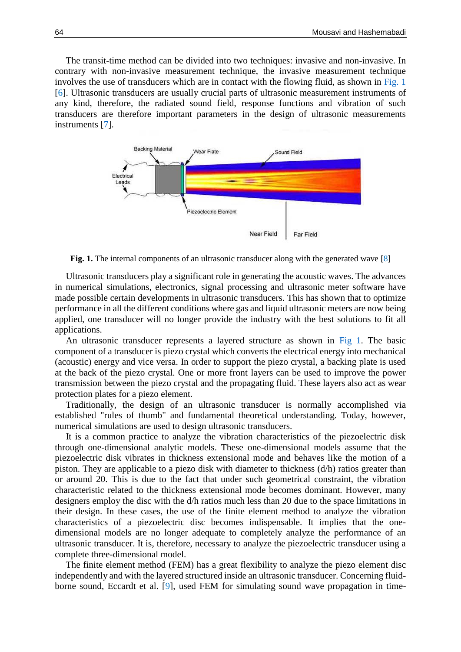The transit-time method can be divided into two techniques: invasive and non-invasive. In contrary with non-invasive measurement technique, the invasive measurement technique involves the use of transducers which are in contact with the flowing fluid, as shown in [Fig. 1](#page-1-0) [\[6\]](#page-8-0). Ultrasonic transducers are usually crucial parts of ultrasonic measurement instruments of any kind, therefore, the radiated sound field, response functions and vibration of such transducers are therefore important parameters in the design of ultrasonic measurements instruments [\[7\]](#page-8-1).

<span id="page-1-0"></span>

**Fig.** 1. The internal components of an ultrasonic transducer along with the generated wave [\[8\]](#page-8-2)

Ultrasonic transducers play a significant role in generating the acoustic waves. The advances in numerical simulations, electronics, signal processing and ultrasonic meter software have made possible certain developments in ultrasonic transducers. This has shown that to optimize performance in all the different conditions where gas and liquid ultrasonic meters are now being applied, one transducer will no longer provide the industry with the best solutions to fit all applications.

An ultrasonic transducer represents a layered structure as shown in [Fig 1.](#page-1-0) The basic component of a transducer is piezo crystal which converts the electrical energy into mechanical (acoustic) energy and vice versa. In order to support the piezo crystal, a backing plate is used at the back of the piezo crystal. One or more front layers can be used to improve the power transmission between the piezo crystal and the propagating fluid. These layers also act as wear protection plates for a piezo element.

Traditionally, the design of an ultrasonic transducer is normally accomplished via established "rules of thumb" and fundamental theoretical understanding. Today, however, numerical simulations are used to design ultrasonic transducers.

It is a common practice to analyze the vibration characteristics of the piezoelectric disk through one-dimensional analytic models. These one-dimensional models assume that the piezoelectric disk vibrates in thickness extensional mode and behaves like the motion of a piston. They are applicable to a piezo disk with diameter to thickness (d/h) ratios greater than or around 20. This is due to the fact that under such geometrical constraint, the vibration characteristic related to the thickness extensional mode becomes dominant. However, many designers employ the disc with the d/h ratios much less than 20 due to the space limitations in their design. In these cases, the use of the finite element method to analyze the vibration characteristics of a piezoelectric disc becomes indispensable. It implies that the onedimensional models are no longer adequate to completely analyze the performance of an ultrasonic transducer. It is, therefore, necessary to analyze the piezoelectric transducer using a complete three-dimensional model.

The finite element method (FEM) has a great flexibility to analyze the piezo element disc independently and with the layered structured inside an ultrasonic transducer. Concerning fluidborne sound, Eccardt et al. [9], used FEM for simulating sound wave propagation in time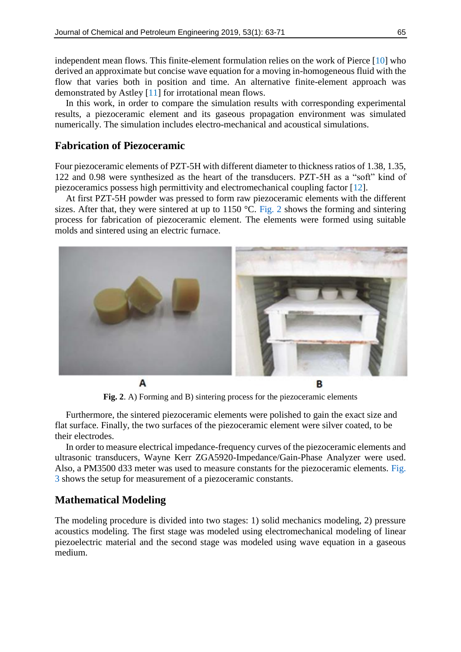independent mean flows. This finite-element formulation relies on the work of Pierce [10] who derived an approximate but concise wave equation for a moving in-homogeneous fluid with the flow that varies both in position and time. An alternative finite-element approach was demonstrated by Astley [11] for irrotational mean flows.

In this work, in order to compare the simulation results with corresponding experimental results, a piezoceramic element and its gaseous propagation environment was simulated numerically. The simulation includes electro-mechanical and acoustical simulations.

### **Fabrication of Piezoceramic**

Four piezoceramic elements of PZT-5H with different diameter to thickness ratios of 1.38, 1.35, 122 and 0.98 were synthesized as the heart of the transducers. PZT-5H as a "soft" kind of piezoceramics possess high permittivity and electromechanical coupling factor [\[12\]](#page-8-3).

At first PZT-5H powder was pressed to form raw piezoceramic elements with the different sizes. After that, they were sintered at up to 1150 °C. [Fig. 2](#page-2-0) shows the forming and sintering process for fabrication of piezoceramic element. The elements were formed using suitable molds and sintered using an electric furnace.

<span id="page-2-0"></span>

**Fig. 2**. A) Forming and B) sintering process for the piezoceramic elements

Furthermore, the sintered piezoceramic elements were polished to gain the exact size and flat surface. Finally, the two surfaces of the piezoceramic element were silver coated, to be their electrodes.

In order to measure electrical impedance-frequency curves of the piezoceramic elements and ultrasonic transducers, Wayne Kerr ZGA5920-Impedance/Gain-Phase Analyzer were used. Also, a PM3500 d33 meter was used to measure constants for the piezoceramic elements. [Fig.](#page-3-0)  [3](#page-3-0) shows the setup for measurement of a piezoceramic constants.

#### **Mathematical Modeling**

The modeling procedure is divided into two stages: 1) solid mechanics modeling, 2) pressure acoustics modeling. The first stage was modeled using electromechanical modeling of linear piezoelectric material and the second stage was modeled using wave equation in a gaseous medium.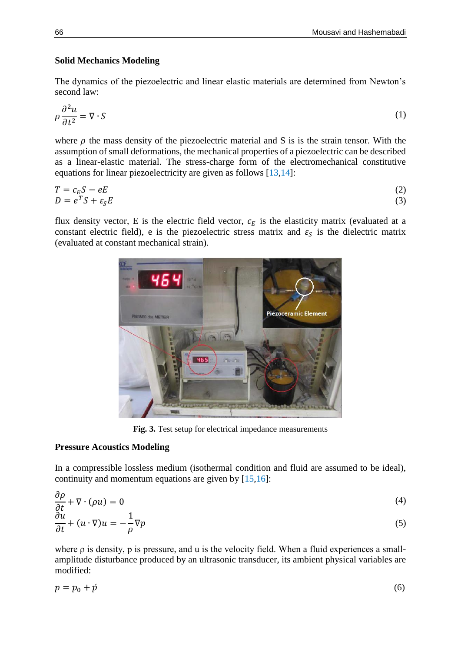#### **Solid Mechanics Modeling**

The dynamics of the piezoelectric and linear elastic materials are determined from Newton's second law:

$$
\rho \frac{\partial^2 u}{\partial t^2} = \nabla \cdot S \tag{1}
$$

where  $\rho$  the mass density of the piezoelectric material and S is is the strain tensor. With the assumption of small deformations, the mechanical properties of a piezoelectric can be described as a linear-elastic material. The stress-charge form of the electromechanical constitutive equations for linear piezoelectricity are given as follows [\[13](#page-8-4)[,14\]](#page-8-5):

$$
T = c_E S - eE
$$
  
\n
$$
D = e^T S + \varepsilon_S E
$$
\n(2)

<span id="page-3-0"></span>flux density vector, E is the electric field vector,  $c_E$  is the elasticity matrix (evaluated at a constant electric field), e is the piezoelectric stress matrix and  $\varepsilon_s$  is the dielectric matrix (evaluated at constant mechanical strain).



**Fig. 3.** Test setup for electrical impedance measurements

#### **Pressure Acoustics Modeling**

 $\sim$ 

In a compressible lossless medium (isothermal condition and fluid are assumed to be ideal), continuity and momentum equations are given by [\[15](#page-8-6)[,16\]](#page-8-7):

$$
\frac{\partial \rho}{\partial t} + \nabla \cdot (\rho u) = 0 \tag{4}
$$

$$
\frac{\partial u}{\partial t} + (u \cdot \nabla)u = -\frac{1}{\rho} \nabla p \tag{5}
$$

where  $\rho$  is density,  $p$  is pressure, and u is the velocity field. When a fluid experiences a smallamplitude disturbance produced by an ultrasonic transducer, its ambient physical variables are modified:

$$
p = p_0 + \acute{p} \tag{6}
$$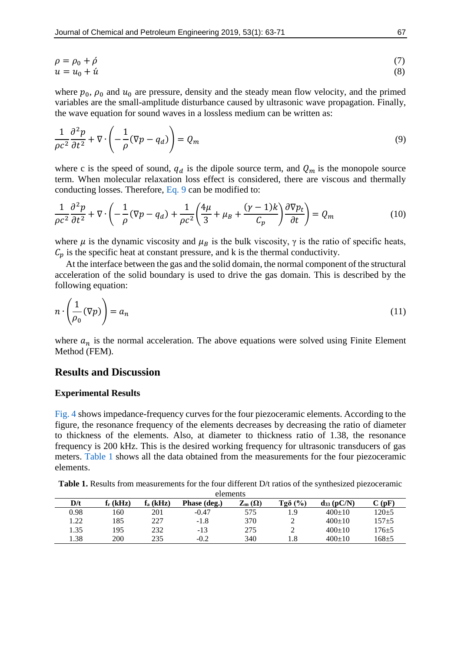$$
\rho = \rho_0 + \dot{\rho} \tag{7}
$$
  
 
$$
u = u_0 + \dot{u} \tag{8}
$$

where  $p_0$ ,  $\rho_0$  and  $u_0$  are pressure, density and the steady mean flow velocity, and the primed variables are the small-amplitude disturbance caused by ultrasonic wave propagation. Finally, the wave equation for sound waves in a lossless medium can be written as:

<span id="page-4-0"></span>
$$
\frac{1}{\rho c^2} \frac{\partial^2 p}{\partial t^2} + \nabla \cdot \left( -\frac{1}{\rho} (\nabla p - q_d) \right) = Q_m \tag{9}
$$

where c is the speed of sound,  $q_d$  is the dipole source term, and  $Q_m$  is the monopole source term. When molecular relaxation loss effect is considered, there are viscous and thermally conducting losses. Therefore, [Eq. 9](#page-4-0) can be modified to:

$$
\frac{1}{\rho c^2} \frac{\partial^2 p}{\partial t^2} + \nabla \cdot \left( -\frac{1}{\rho} (\nabla p - q_d) + \frac{1}{\rho c^2} \left( \frac{4\mu}{3} + \mu_B + \frac{(\gamma - 1)k}{C_p} \right) \frac{\partial \nabla p_t}{\partial t} \right) = Q_m \tag{10}
$$

where  $\mu$  is the dynamic viscosity and  $\mu_B$  is the bulk viscosity,  $\gamma$  is the ratio of specific heats,  $C_p$  is the specific heat at constant pressure, and k is the thermal conductivity.

At the interface between the gas and the solid domain, the normal component of the structural acceleration of the solid boundary is used to drive the gas domain. This is described by the following equation:

$$
n \cdot \left(\frac{1}{\rho_0}(\nabla p)\right) = a_n \tag{11}
$$

where  $a_n$  is the normal acceleration. The above equations were solved using Finite Element Method (FEM).

#### **Results and Discussion**

#### **Experimental Results**

[Fig. 4](#page-5-0) shows impedance-frequency curves for the four piezoceramic elements. According to the figure, the resonance frequency of the elements decreases by decreasing the ratio of diameter to thickness of the elements. Also, at diameter to thickness ratio of 1.38, the resonance frequency is 200 kHz. This is the desired working frequency for ultrasonic transducers of gas meters. [Table 1](#page-4-1) shows all the data obtained from the measurements for the four piezoceramic elements.

<span id="page-4-1"></span>

| <b>Table 1.</b> Results from measurements for the four different $D/t$ ratios of the synthesized piezoceramic |  |  |  |  |
|---------------------------------------------------------------------------------------------------------------|--|--|--|--|
|---------------------------------------------------------------------------------------------------------------|--|--|--|--|

| elements |                      |            |              |                                 |                |               |                   |  |  |  |
|----------|----------------------|------------|--------------|---------------------------------|----------------|---------------|-------------------|--|--|--|
| D/t      | f <sub>r</sub> (kHz) | $f_a(kHz)$ | Phase (deg.) | $\rm Z_{m}\left( \Omega\right)$ | $Tg\delta$ (%) | $ds_3$ (pC/N) | $\mathbf{C}$ (pF) |  |  |  |
| 0.98     | -60                  | 201        | $-0.47$      | 575                             | 1.9            | $400+10$      | $120 \pm 5$       |  |  |  |
| 1.22     | 185                  | 227        | $-1.8$       | 370                             | ∸              | $400+10$      | 157±5             |  |  |  |
| 1.35     | 195                  | 232        | $-13$        | 275                             |                | $400+10$      | $176 + 5$         |  |  |  |
| 1.38     | 200                  | 235        | $-0.2$       | 340                             | 1.8            | $400+10$      | $168 + 5$         |  |  |  |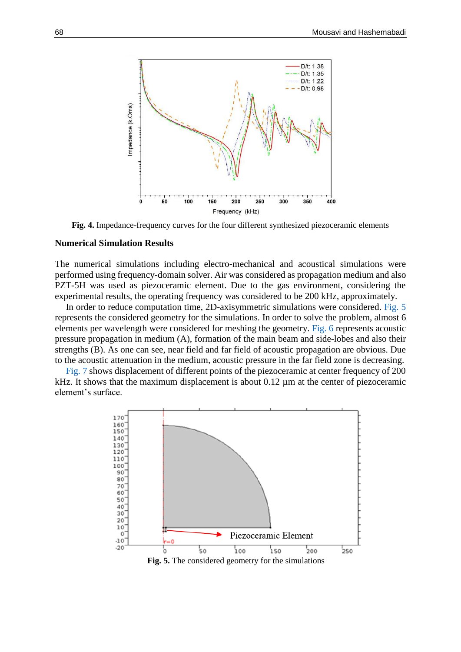<span id="page-5-0"></span>

**Fig. 4.** Impedance-frequency curves for the four different synthesized piezoceramic elements

#### **Numerical Simulation Results**

The numerical simulations including electro-mechanical and acoustical simulations were performed using frequency-domain solver. Air was considered as propagation medium and also PZT-5H was used as piezoceramic element. Due to the gas environment, considering the experimental results, the operating frequency was considered to be 200 kHz, approximately.

In order to reduce computation time, 2D-axisymmetric simulations were considered. [Fig.](#page-5-1) 5 represents the considered geometry for the simulations. In order to solve the problem, almost 6 elements per wavelength were considered for meshing the geometry. [Fig. 6](#page-6-0) represents acoustic pressure propagation in medium (A), formation of the main beam and side-lobes and also their strengths (B). As one can see, near field and far field of acoustic propagation are obvious. Due to the acoustic attenuation in the medium, acoustic pressure in the far field zone is decreasing.

<span id="page-5-1"></span>[Fig. 7](#page-6-1) shows displacement of different points of the piezoceramic at center frequency of 200 kHz. It shows that the maximum displacement is about  $0.12 \mu$ m at the center of piezoceramic element's surface.

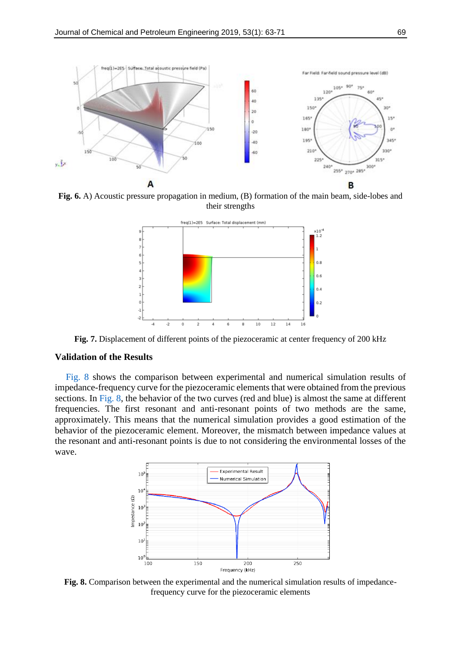<span id="page-6-0"></span>

<span id="page-6-1"></span>**Fig. 6.** A) Acoustic pressure propagation in medium, (B) formation of the main beam, side-lobes and their strengths



**Fig. 7.** Displacement of different points of the piezoceramic at center frequency of 200 kHz

#### **Validation of the Results**

[Fig.](#page-6-2) 8 shows the comparison between experimental and numerical simulation results of impedance-frequency curve for the piezoceramic elements that were obtained from the previous sections. In [Fig. 8,](#page-6-2) the behavior of the two curves (red and blue) is almost the same at different frequencies. The first resonant and anti-resonant points of two methods are the same, approximately. This means that the numerical simulation provides a good estimation of the behavior of the piezoceramic element. Moreover, the mismatch between impedance values at the resonant and anti-resonant points is due to not considering the environmental losses of the wave.

<span id="page-6-2"></span>

**Fig. 8.** Comparison between the experimental and the numerical simulation results of impedancefrequency curve for the piezoceramic elements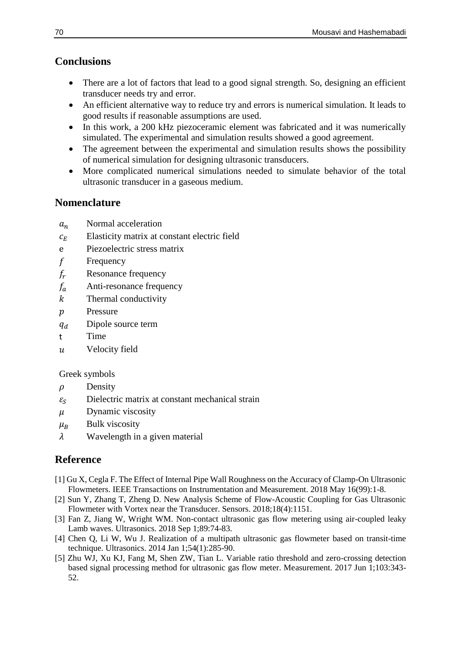## **Conclusions**

- There are a lot of factors that lead to a good signal strength. So, designing an efficient transducer needs try and error.
- An efficient alternative way to reduce try and errors is numerical simulation. It leads to good results if reasonable assumptions are used.
- In this work, a 200 kHz piezoceramic element was fabricated and it was numerically simulated. The experimental and simulation results showed a good agreement.
- The agreement between the experimental and simulation results shows the possibility of numerical simulation for designing ultrasonic transducers.
- More complicated numerical simulations needed to simulate behavior of the total ultrasonic transducer in a gaseous medium.

## **Nomenclature**

- $a_n$  Normal acceleration
- $c_F$  Elasticity matrix at constant electric field
- e Piezoelectric stress matrix
- $f$  Frequency
- $f_r$  Resonance frequency
- $f_a$  Anti-resonance frequency
- $k$  Thermal conductivity
- $p$  Pressure
- $q_d$  Dipole source term
- t Time
- Velocity field

### Greek symbols

- $\rho$  Density
- $\varepsilon_s$  Dielectric matrix at constant mechanical strain
- $\mu$  Dynamic viscosity
- $\mu_B$  Bulk viscosity
- $\lambda$  Wavelength in a given material

## **Reference**

- [1] Gu X, Cegla F. The Effect of Internal Pipe Wall Roughness on the Accuracy of Clamp-On Ultrasonic Flowmeters. IEEE Transactions on Instrumentation and Measurement. 2018 May 16(99):1-8.
- <span id="page-7-0"></span>[2] Sun Y, Zhang T, Zheng D. New Analysis Scheme of Flow-Acoustic Coupling for Gas Ultrasonic Flowmeter with Vortex near the Transducer. Sensors. 2018;18(4):1151.
- <span id="page-7-1"></span>[3] Fan Z, Jiang W, Wright WM. Non-contact ultrasonic gas flow metering using air-coupled leaky Lamb waves. Ultrasonics. 2018 Sep 1;89:74-83.
- [4] Chen Q, Li W, Wu J. Realization of a multipath ultrasonic gas flowmeter based on transit-time technique. Ultrasonics. 2014 Jan 1;54(1):285-90.
- <span id="page-7-2"></span>[5] Zhu WJ, Xu KJ, Fang M, Shen ZW, Tian L. Variable ratio threshold and zero-crossing detection based signal processing method for ultrasonic gas flow meter. Measurement. 2017 Jun 1;103:343- 52.